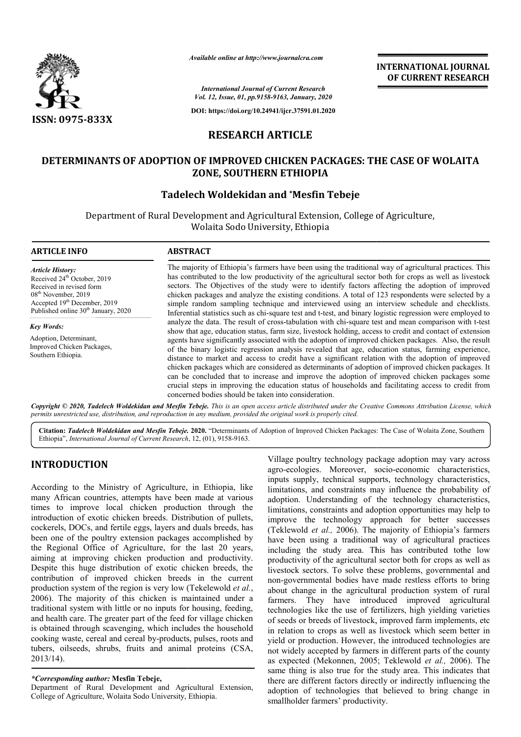

*Available online at http://www.journalcra.com*

**INTERNATIONAL JOURNAL OF CURRENT RESEARCH**

*International Journal of Current Research Vol. 12, Issue, 01, pp.9158-9163, January, 2020*

**DOI: https://doi.org/10.24941/ijcr.37591.01.2020**

# **RESEARCH ARTICLE**

# **DETERMINANTS OF ADOPTION OF IMPROVED CHICKEN PACKAGES: THE CASE OF WOLAITA ZONE, SOUTHERN ETHIOPIA**

# **Tadelech Woldekidan and \*Mesfin Tebeje**

Department of Rural Development and Agricultural Extension, College of Agriculture, Wolaita Sodo University, Ethiopia

#### **ARTICLE INFO ABSTRACT** The majority of Ethiopia's farmers have been using the traditional way of agricultural practices. This has contributed to the low productivity of the agricultural sector both for crops as well as livestock sectors. The Objectives of the study were to identify factors affecting the adoption of improved chicken packages and analyze the existing conditions. A total of 123 respondents were selected by a simple random sampling technique and interviewed using an interview schedule and checklists. Inferential statistics such as chi-square test and t-test, and binary logistic regression were employed to Inferential statistics such as chi-square test and t-test, and binary logistic regression were employed to analyze the data. The result of cross-tabulation with chi-square test and mean comparison with t-test show that age, education status, farm size, livestock holding, access to credit and contact of extension agents have significantly associated with the adoption of improved chicken packages. Also, the result of the binary logistic regression analysis revealed that age, education status distance to market and access to credit have a significant relation with the adoption of improved distance to market and access to credit have a significant relation with the adoption of improved<br>chicken packages which are considered as determinants of adoption of improved chicken packages. It can be concluded that to increase and improve the adoption of improved chicken packages some can be concluded that to increase and improve the adoption of improved chicken packages some crucial steps in improving the education status of households and facilitating access to credit from concerned bodies should be taken into consideration. *Article History:* Received 24<sup>th</sup> October, 2019 Received in revised form 08<sup>th</sup> November, 2019 Accepted 19<sup>th</sup> December, 2019 Published online 30<sup>th</sup> January, 2020 *Key Words:* Adoption, Determinant, Improved Chicken Packages, Southern Ethiopia. The majority of Ethiopia's farmers have been using the traditional way of agricultural practices. This has contributed to the low productivity of the agricultural sector both for crops as well as livestock sectors. The Obj show that age, education status, farm size, livestock holding, access to credit and contact of extension agents have significantly associated with the adoption of improved chicken packages. Also, the result of the binary l

Copyright © 2020, Tadelech Woldekidan and Mesfin Tebeje. This is an open access article distributed under the Creative Commons Attribution License, which permits unrestricted use, distribution, and reproduction in any medium, provided the original work is properly cited.

Citation: Tadelech Woldekidan and Mesfin Tebeje. 2020. "Determinants of Adoption of Improved Chicken Packages: The Case of Wolaita Zone, Southern Ethiopia", *International Journal of Current Research* , 12, (01), 9158-9163.

# **INTRODUCTION**

According to the Ministry of Agriculture, in Ethiopia, like many African countries, attempts have been made at various times to improve local chicken production through the introduction of exotic chicken breeds. Distribution of pullets, cockerels, DOCs, and fertile eggs, layers and duals breeds, has been one of the poultry extension packages accomplished by the Regional Office of Agriculture, for the last 20 years, aiming at improving chicken production and productivity. cockerels, DOCs, and fertile eggs, layers and duals breeds, has<br>been one of the poultry extension packages accomplished by<br>the Regional Office of Agriculture, for the last 20 years,<br>aiming at improving chicken production a contribution of improved chicken breeds in the current production system of the region is very low (Tekelewold *et al.*, 2006). The majority of this chicken is maintained under a traditional system with little or no inputs for housing, feeding, and health care. The greater part of the feed for village chicken is obtained through scavenging, which includes the household cooking waste, cereal and cereal by-products, pulses, roots and tubers, oilseeds, shrubs, fruits and animal proteins (CSA, 2013/14). products, Ethiopia.

### *\*Corresponding author:* **Mesfin Tebeje,**

Department of Rural Development and Agricultural Extension, College of Agriculture, Wolaita Sodo University, Ethiopia

Village poultry technology package adoption may vary across agro-ecologies. Moreover, socio-economic characteristics, inputs supply, technical supports, technology characteristics, limitations, and constraints may influence the probability of adoption. Understanding of the technology characteristics, limitations, constraints and adoption opportunities may help to improve the technology approach for better successes (Teklewold *et al.,* 2006). The majority of Ethiopia's farmers have been using a traditional way of agricultural practices including the study area. This has contributed to the low productivity of the agricultural sector both for crops as well as livestock sectors. To solve these problems, governmental and non-governmental bodies have made restless efforts to bring productivity of the agricultural sector both for crops as well as<br>livestock sectors. To solve these problems, governmental and<br>non-governmental bodies have made restless efforts to bring<br>about change in the agricultural pr farmers. They have introduced improved agricultural technologies like the use of fertilizers, high yielding varieties of seeds or breeds of livestock, improved farm implements, etc farmers. They have introduced improved agricultural technologies like the use of fertilizers, high yielding varieties of seeds or breeds of livestock, improved farm implements, etc in relation to crops as well as livestock yield or production. However, the introduced technologies are not widely accepted by farmers in different parts of the county as expected (Mekonnen, 2005; Teklewold et al., 2006). The same thing is also true for the study area. This indicates that there are different factors directly or indirectly influencing the adoption of technologies that believed to bring change in smallholder farmers' productivity. and constraints may influence the probability of nderstanding of the technology characteristics, onstraints and adoption opportunities may help to technology approach for better successes *et al.*, 2006). The majority of yield or production. However, the introduced technologies are not widely accepted by farmers in different parts of the county as expected (Mekonnen, 2005; Teklewold *et al.*, 2006). The **INTERNATIONAL JOURNAL FORMATIONAL JOURNAL FORMATION CONVERT (ASSEEM TRESEARCH CONTRENT (GENERAT TRESEARCH CONTRENT (GENERAT TRESEARCH (GENERAT TRESEARCH (GENERAT TRESEARCH (GENERAT TRESEARCH CONTRENT) (EXPLORED CONTRENT)**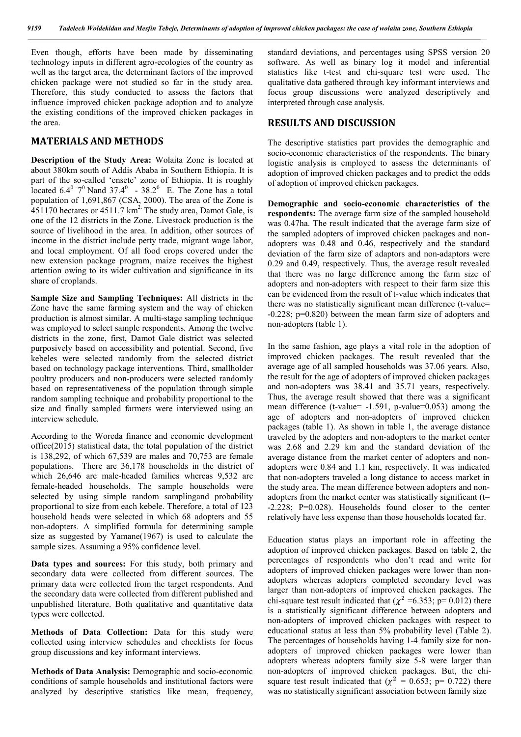Even though, efforts have been made by disseminating technology inputs in different agro-ecologies of the country as well as the target area, the determinant factors of the improved chicken package were not studied so far in the study area. Therefore, this study conducted to assess the factors that influence improved chicken package adoption and to analyze the existing conditions of the improved chicken packages in the area.

# **MATERIALS AND METHODS**

**Description of the Study Area:** Wolaita Zone is located at about 380km south of Addis Ababa in Southern Ethiopia. It is part of the so-called 'ensete' zone of Ethiopia. It is roughly located  $6.4^{\circ}$   $7^{\circ}$  Nand  $37.4^{\circ}$  -  $38.2^{\circ}$  E. The Zone has a total population of 1,691,867 (CSA, 2000). The area of the Zone is 451170 hectares or  $4511.7 \text{ km}^2$ . The study area, Damot Gale, is one of the 12 districts in the Zone. Livestock production is the source of livelihood in the area. In addition, other sources of income in the district include petty trade, migrant wage labor, and local employment. Of all food crops covered under the new extension package program, maize receives the highest attention owing to its wider cultivation and significance in its share of croplands.

**Sample Size and Sampling Techniques:** All districts in the Zone have the same farming system and the way of chicken production is almost similar. A multi-stage sampling technique was employed to select sample respondents. Among the twelve districts in the zone, first, Damot Gale district was selected purposively based on accessibility and potential. Second, five kebeles were selected randomly from the selected district based on technology package interventions. Third, smallholder poultry producers and non-producers were selected randomly based on representativeness of the population through simple random sampling technique and probability proportional to the size and finally sampled farmers were interviewed using an interview schedule.

According to the Woreda finance and economic development office(2015) statistical data, the total population of the district is 138,292, of which 67,539 are males and 70,753 are female populations. There are 36,178 households in the district of which 26,646 are male-headed families whereas 9,532 are female-headed households. The sample households were selected by using simple random samplingand probability proportional to size from each kebele. Therefore, a total of 123 household heads were selected in which 68 adopters and 55 non-adopters. A simplified formula for determining sample size as suggested by Yamane(1967) is used to calculate the sample sizes. Assuming a 95% confidence level.

**Data types and sources:** For this study, both primary and secondary data were collected from different sources. The primary data were collected from the target respondents. And the secondary data were collected from different published and unpublished literature. Both qualitative and quantitative data types were collected.

**Methods of Data Collection:** Data for this study were collected using interview schedules and checklists for focus group discussions and key informant interviews.

**Methods of Data Analysis:** Demographic and socio-economic conditions of sample households and institutional factors were analyzed by descriptive statistics like mean, frequency, standard deviations, and percentages using SPSS version 20 software. As well as binary log it model and inferential statistics like t-test and chi-square test were used. The qualitative data gathered through key informant interviews and focus group discussions were analyzed descriptively and interpreted through case analysis.

# **RESULTS AND DISCUSSION**

The descriptive statistics part provides the demographic and socio-economic characteristics of the respondents. The binary logistic analysis is employed to assess the determinants of adoption of improved chicken packages and to predict the odds of adoption of improved chicken packages.

**Demographic and socio-economic characteristics of the respondents:** The average farm size of the sampled household was 0.47ha. The result indicated that the average farm size of the sampled adopters of improved chicken packages and nonadopters was 0.48 and 0.46, respectively and the standard deviation of the farm size of adaptors and non-adaptors were 0.29 and 0.49, respectively. Thus, the average result revealed that there was no large difference among the farm size of adopters and non-adopters with respect to their farm size this can be evidenced from the result of t-value which indicates that there was no statistically significant mean difference (t-value= -0.228; p=0.820) between the mean farm size of adopters and non-adopters (table 1).

In the same fashion, age plays a vital role in the adoption of improved chicken packages. The result revealed that the average age of all sampled households was 37.06 years. Also, the result for the age of adopters of improved chicken packages and non-adopters was 38.41 and 35.71 years, respectively. Thus, the average result showed that there was a significant mean difference (t-value= -1.591, p-value=0.053) among the age of adopters and non-adopters of improved chicken packages (table 1). As shown in table 1, the average distance traveled by the adopters and non-adopters to the market center was 2.68 and 2.29 km and the standard deviation of the average distance from the market center of adopters and nonadopters were 0.84 and 1.1 km, respectively. It was indicated that non-adopters traveled a long distance to access market in the study area. The mean difference between adopters and nonadopters from the market center was statistically significant  $(t=$ -2.228; P=0.028). Households found closer to the center relatively have less expense than those households located far.

Education status plays an important role in affecting the adoption of improved chicken packages. Based on table 2, the percentages of respondents who don't read and write for adopters of improved chicken packages were lower than nonadopters whereas adopters completed secondary level was larger than non-adopters of improved chicken packages. The chi-square test result indicated that ( $\chi^2$  =6.353; p= 0.012) there is a statistically significant difference between adopters and non-adopters of improved chicken packages with respect to educational status at less than 5% probability level (Table 2). The percentages of households having 1-4 family size for nonadopters of improved chicken packages were lower than adopters whereas adopters family size 5-8 were larger than non-adopters of improved chicken packages. But, the chisquare test result indicated that ( $\chi^2 = 0.653$ ; p= 0.722) there was no statistically significant association between family size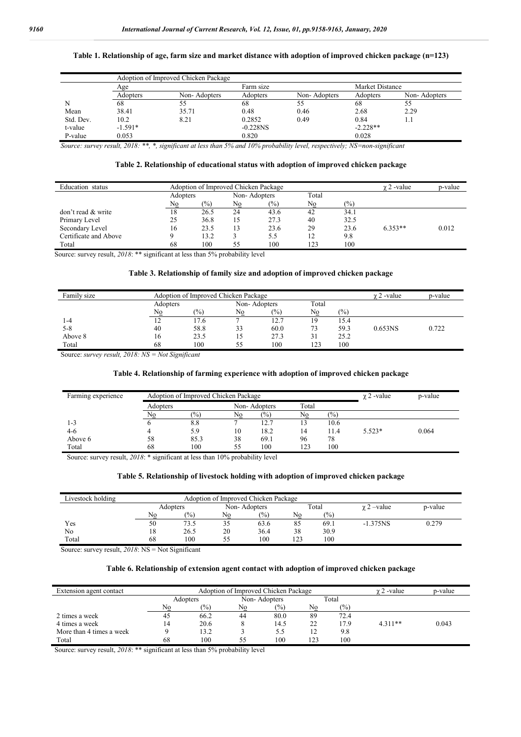### **Table 1. Relationship of age, farm size and market distance with adoption of improved chicken package (n=123)**

|           |           | Adoption of Improved Chicken Package |             |              |            |                 |  |  |
|-----------|-----------|--------------------------------------|-------------|--------------|------------|-----------------|--|--|
|           | Age       |                                      | Farm size   |              |            | Market Distance |  |  |
|           | Adopters  | Non-Adopters                         | Adopters    | Non-Adopters | Adopters   | Non-Adopters    |  |  |
| N         | 68        |                                      | 68          |              | 68         | 55              |  |  |
| Mean      | 38.41     | 35.71                                | 0.48        | 0.46         | 2.68       | 2.29            |  |  |
| Std. Dev. | 10.2      | 8.21                                 | 0.2852      | 0.49         | 0.84       | ı. ı            |  |  |
| t-value   | $-1.591*$ |                                      | $-0.228$ NS |              | $-2.228**$ |                 |  |  |
| P-value   | 0.053     |                                      | 0.820       |              | 0.028      |                 |  |  |

*Source: survey result, 2018: \*\*, \*, significant at less than 5% and 10% probability level, respectively; NS=non-significant*

#### **Table 2. Relationship of educational status with adoption of improved chicken package**

| Education status      |          | Adoption of Improved Chicken Package | $\gamma$ 2 -value | p-value |       |                 |           |       |
|-----------------------|----------|--------------------------------------|-------------------|---------|-------|-----------------|-----------|-------|
|                       | Adopters |                                      | Non-Adopters      |         | Total |                 |           |       |
|                       | No       | $\frac{1}{2}$                        | No                | $(\%)$  | No    | $\frac{(0)}{0}$ |           |       |
| don't read & write    | 18       | 26.5                                 | 24                | 43.6    | 42    | 34.1            |           |       |
| Primary Level         | 25       | 36.8                                 | 15                | 27.3    | 40    | 32.5            |           |       |
| Secondary Level       | 16       | 23.5                                 | 13                | 23.6    | 29    | 23.6            | $6.353**$ | 0.012 |
| Certificate and Above |          | 13.2                                 |                   | 5.5     | 12    | 9.8             |           |       |
| Total                 | 68       | 100                                  | 55                | 100     | 123   | 100             |           |       |

Source: survey result, *2018*: \*\* significant at less than 5% probability level

## **Table 3. Relationship of family size and adoption of improved chicken package**

| Family size |          | Adoption of Improved Chicken Package | $\gamma$ 2 -value | p-value         |       |      |                     |       |
|-------------|----------|--------------------------------------|-------------------|-----------------|-------|------|---------------------|-------|
|             | Adopters |                                      | Non-Adopters      |                 | Total |      |                     |       |
|             | Nο       | (%)                                  | No                | $\frac{(0)}{0}$ | No    | (%)  |                     |       |
| 1-4         | 12       | 17.6                                 |                   | 12.7            | 19    | 15.4 |                     |       |
| $5 - 8$     | 40       | 58.8                                 | 33                | 60.0            | 73    | 59.3 | 0.653 <sub>NS</sub> | 0.722 |
| Above 8     | 16       | 23.5                                 | 15                | 27.3            | 31    | 25.2 |                     |       |
| Total       | 68       | 100                                  | 55                | 100             | 123   | 100  |                     |       |

Source: *survey result, 2018: NS = Not Significant* 

#### **Table 4. Relationship of farming experience with adoption of improved chicken package**

| Farming experience |          | Adoption of Improved Chicken Package | $\gamma$ 2 -value | p-value         |       |       |          |       |
|--------------------|----------|--------------------------------------|-------------------|-----------------|-------|-------|----------|-------|
|                    | Adopters |                                      | Non-Adopters      |                 | Total |       |          |       |
|                    | No       | $\frac{(0)}{0}$                      | No                | $\frac{(0)}{0}$ | No    | (9/0) |          |       |
| 1-3                |          | 8.8                                  |                   | 12.7            | 13    | 10.6  |          |       |
| 4-6                |          | 5.9                                  | 10                | 18.2            | 14    | 11.4  | $5.523*$ | 0.064 |
| Above 6            | 58       | 85.3                                 | 38                | 69.1            | 96    | 78    |          |       |
| Total              | 68       | 100                                  | 55                | 100             | 123   | 100   |          |       |

Source: survey result,  $2018$ : \* significant at less than 10% probability level

#### **Table 5. Relationship of livestock holding with adoption of improved chicken package**

| Livestock holding | Adoption of Improved Chicken Package |      |    |               |       |      |                 |         |  |  |
|-------------------|--------------------------------------|------|----|---------------|-------|------|-----------------|---------|--|--|
|                   | Adopters                             |      |    | Non-Adopters  | Total |      | $\chi$ 2 –value | p-value |  |  |
|                   | No                                   | (%)  | No | $\frac{1}{2}$ | No    | (%)  |                 |         |  |  |
| Yes               | 50                                   | 73.5 | 35 | 63.6          | 85    | 69.i | $-1.375NS$      | 0.279   |  |  |
| No                | 18                                   | 26.5 | 20 | 36.4          | 38    | 30.9 |                 |         |  |  |
| Total             | 68                                   | 100  | 55 | 100           | 123   | 100  |                 |         |  |  |

Source: survey result, *2018*: NS = Not Significant

#### **Table 6. Relationship of extension agent contact with adoption of improved chicken package**

| Extension agent contact  |     | Adoption of Improved Chicken Package |    | $\gamma$ 2 -value | p-value |       |           |       |
|--------------------------|-----|--------------------------------------|----|-------------------|---------|-------|-----------|-------|
|                          |     | Adopters                             |    | Non-Adopters      |         | Total |           |       |
|                          | No  | $\frac{10}{6}$                       | No | $\frac{(0)}{0}$   | No      | (%    |           |       |
| 2 times a week           | 45  | 66.2                                 | 44 | 80.0              | 89      | 72.4  |           |       |
| 4 times a week           | ، 4 | 20.6                                 |    | 14.5              | 22      | 17.9  | $4.311**$ | 0.043 |
| More than 4 times a week |     | 3.2                                  |    | 5.5               |         | 9.8   |           |       |
| Total                    | 68  | 100                                  | 55 | 100               | 123     | 100   |           |       |

Source: survey result, *2018*: \*\* significant at less than 5% probability level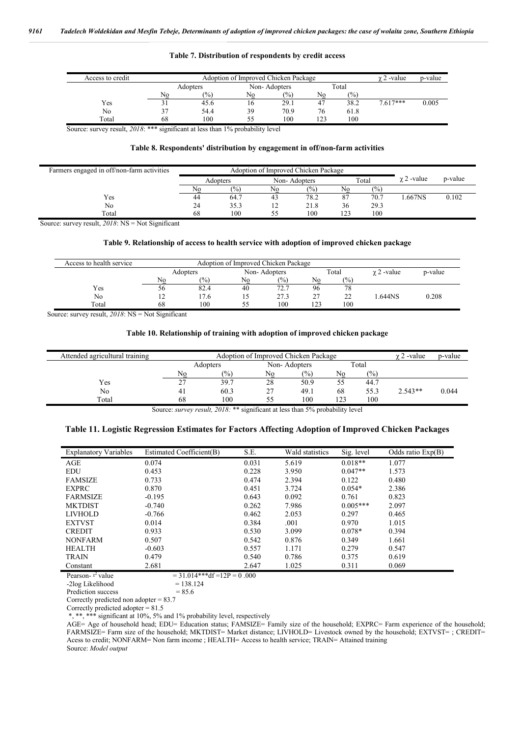| Access to credit |    | Adoption of Improved Chicken Package |    |              |     |       |            |       |  |  |  |  |
|------------------|----|--------------------------------------|----|--------------|-----|-------|------------|-------|--|--|--|--|
|                  |    | Adopters                             |    | Non-Adopters |     | Total |            |       |  |  |  |  |
|                  | No | (%)                                  | No | (%)          | No  | (0/0) |            |       |  |  |  |  |
| Yes              |    | 45.6                                 | 16 | 29.1         | 47  | 38.2  | $7.617***$ | 0.005 |  |  |  |  |
| No               |    | 54.4                                 | 39 | 70.9         | 76  | 61.8  |            |       |  |  |  |  |
| Total            | 68 | 100                                  | 55 | 100          | 123 | 100   |            |       |  |  |  |  |

#### **Table 7. Distribution of respondents by credit access**

Source: survey result, *2018*: \*\*\* significant at less than 1% probability level

#### **Table 8. Respondents' distribution by engagement in off/non-farm activities**

| Farmers engaged in off/non-farm activities |    | Adoption of Improved Chicken Package |    |              |     |       |                   |         |
|--------------------------------------------|----|--------------------------------------|----|--------------|-----|-------|-------------------|---------|
|                                            |    | Adopters                             |    | Non-Adopters |     | Total | $\gamma$ 2 -value | p-value |
|                                            | No | (0/0)                                | No | (9/0)        | No  | (9/0) |                   |         |
| Yes                                        | 44 | 64.7                                 | 43 | 78.2         | 87  | 70.7  | .667NS            | 0.102   |
| No                                         | 24 | 35.3                                 | 12 | 21.8         | 36  | 29.3  |                   |         |
| Total                                      | 68 | 100                                  | 55 | 100          | 123 | 100   |                   |         |

Source: survey result, *2018*: NS = Not Significant

#### **Table 9. Relationship of access to health service with adoption of improved chicken package**

| Access to health service | Adoption of Improved Chicken Package |          |              |               |     |       |                   |         |  |  |
|--------------------------|--------------------------------------|----------|--------------|---------------|-----|-------|-------------------|---------|--|--|
|                          |                                      | Adopters | Non-Adopters |               |     | Total | $\gamma$ 2 -value | p-value |  |  |
|                          | No                                   | (%)      | No           | $\frac{1}{2}$ | No  | (%)   |                   |         |  |  |
| Yes                      | эo                                   | 82.4     | 40           | 72.7          | 96  | 78    |                   |         |  |  |
| No                       | - ⊥                                  | 17.6     |              | 27.3          | 27  | 22    | .644NS            | 0.208   |  |  |
| Total                    | 68                                   | 100      | ヽヽ           | 100           | 123 | 100   |                   |         |  |  |

Source: survey result, *2018*: NS = Not Significant

#### **Table 10. Relationship of training with adoption of improved chicken package**

| Attended agricultural training |             | $\gamma$ 2 -value | p-value      |      |       |                |           |       |
|--------------------------------|-------------|-------------------|--------------|------|-------|----------------|-----------|-------|
|                                | Adopters    |                   | Non-Adopters |      | Total |                |           |       |
|                                | No          | $\frac{1}{2}$     | No           | (%)  | No    | $\frac{10}{6}$ |           |       |
| Yes                            | $\sim$<br>∠ | 39.7              | 28           | 50.9 | 55    | 44.7           |           |       |
| No                             |             | 60.3              | 27           | 49.1 | 68    | 55.3           | $2.543**$ | 0.044 |
| Total                          | 68          | 100               |              | 100  | 123   | 100            |           |       |

Source: *survey result, 2018*: \*\* significant at less than 5% probability level

#### **Table 11. Logistic Regression Estimates for Factors Affecting Adoption of Improved Chicken Packages**

| <b>Explanatory Variables</b> | Estimated Coefficient(B) | S.E.  | Wald statistics | Sig. level | Odds ratio $Exp(B)$ |
|------------------------------|--------------------------|-------|-----------------|------------|---------------------|
| AGE                          | 0.074                    | 0.031 | 5.619           | $0.018**$  | 1.077               |
| <b>EDU</b>                   | 0.453                    | 0.228 | 3.950           | $0.047**$  | 1.573               |
| <b>FAMSIZE</b>               | 0.733                    | 0.474 | 2.394           | 0.122      | 0.480               |
| <b>EXPRC</b>                 | 0.870                    | 0.451 | 3.724           | $0.054*$   | 2.386               |
| <b>FARMSIZE</b>              | $-0.195$                 | 0.643 | 0.092           | 0.761      | 0.823               |
| <b>MKTDIST</b>               | $-0.740$                 | 0.262 | 7.986           | $0.005***$ | 2.097               |
| <b>LIVHOLD</b>               | $-0.766$                 | 0.462 | 2.053           | 0.297      | 0.465               |
| <b>EXTVST</b>                | 0.014                    | 0.384 | .001            | 0.970      | 1.015               |
| <b>CREDIT</b>                | 0.933                    | 0.530 | 3.099           | $0.078*$   | 0.394               |
| <b>NONFARM</b>               | 0.507                    | 0.542 | 0.876           | 0.349      | 1.661               |
| <b>HEALTH</b>                | $-0.603$                 | 0.557 | 1.171           | 0.279      | 0.547               |
| <b>TRAIN</b>                 | 0.479                    | 0.540 | 0.786           | 0.375      | 0.619               |
| Constant                     | 2.681                    | 2.647 | 1.025           | 0.311      | 0.069               |

Pearson- $x^2$  value  $= 31.014***df = 12P = 0.000$  $-2\log$  Likelihood = 138.124

Prediction success  $= 85.6$ 

Correctly predicted non adopter = 83.7

Correctly predicted adopter = 81.5

\*, \*\*, \*\*\* significant at 10%, 5% and 1% probability level, respectively

AGE= Age of household head; EDU= Education status; FAMSIZE= Family size of the household; EXPRC= Farm experience of the household; FARMSIZE= Farm size of the household; MKTDIST= Market distance; LIVHOLD= Livestock owned by the household; EXTVST= ; CREDIT= Acess to credit; NONFARM= Non farm income ; HEALTH= Access to health service; TRAIN= Attained training Source: *Model output*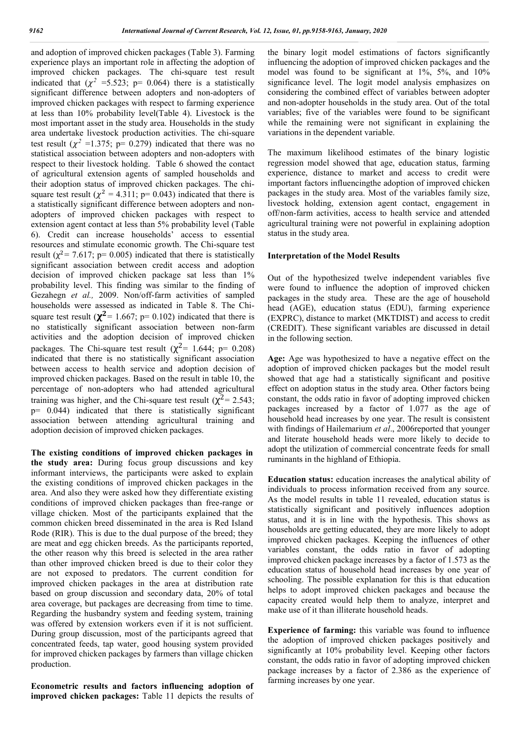and adoption of improved chicken packages (Table 3). Farming experience plays an important role in affecting the adoption of improved chicken packages. The chi-square test result indicated that  $(\chi^2 = 5.523; \, p = 0.064)$  there is a statistically significant difference between adopters and non-adopters of improved chicken packages with respect to farming experience at less than 10% probability level(Table 4). Livestock is the most important asset in the study area. Households in the study area undertake livestock production activities. The chi-square test result ( $\chi^2$  =1.375; p= 0.279) indicated that there was no statistical association between adopters and non-adopters with respect to their livestock holding. Table 6 showed the contact of agricultural extension agents of sampled households and their adoption status of improved chicken packages. The chisquare test result ( $\chi^2 = 4.311$ ; p= 0.043) indicated that there is a statistically significant difference between adopters and nonadopters of improved chicken packages with respect to extension agent contact at less than 5% probability level (Table 6). Credit can increase households' access to essential resources and stimulate economic growth. The Chi-square test result ( $\chi^2$ = 7.617; p= 0.005) indicated that there is statistically significant association between credit access and adoption decision of improved chicken package sat less than 1% probability level. This finding was similar to the finding of Gezahegn *et al.,* 2009. Non/off-farm activities of sampled households were assessed as indicated in Table 8. The Chisquare test result ( $\chi^2$  = 1.667; p= 0.102) indicated that there is no statistically significant association between non-farm activities and the adoption decision of improved chicken packages. The Chi-square test result ( $\chi^2$ = 1.644; p= 0.208) indicated that there is no statistically significant association between access to health service and adoption decision of improved chicken packages. Based on the result in table 10, the percentage of non-adopters who had attended agricultural training was higher, and the Chi-square test result ( $\chi^2$  = 2.543;  $p= 0.044$ ) indicated that there is statistically significant association between attending agricultural training and adoption decision of improved chicken packages.

**The existing conditions of improved chicken packages in the study area:** During focus group discussions and key informant interviews, the participants were asked to explain the existing conditions of improved chicken packages in the area. And also they were asked how they differentiate existing conditions of improved chicken packages than free-range or village chicken. Most of the participants explained that the common chicken breed disseminated in the area is Red Island Rode (RIR). This is due to the dual purpose of the breed; they are meat and egg chicken breeds. As the participants reported, the other reason why this breed is selected in the area rather than other improved chicken breed is due to their color they are not exposed to predators. The current condition for improved chicken packages in the area at distribution rate based on group discussion and secondary data, 20% of total area coverage, but packages are decreasing from time to time. Regarding the husbandry system and feeding system, training was offered by extension workers even if it is not sufficient. During group discussion, most of the participants agreed that concentrated feeds, tap water, good housing system provided for improved chicken packages by farmers than village chicken production.

**Econometric results and factors influencing adoption of improved chicken packages:** Table 11 depicts the results of the binary logit model estimations of factors significantly influencing the adoption of improved chicken packages and the model was found to be significant at 1%, 5%, and 10% significance level. The logit model analysis emphasizes on considering the combined effect of variables between adopter and non-adopter households in the study area. Out of the total variables; five of the variables were found to be significant while the remaining were not significant in explaining the variations in the dependent variable.

The maximum likelihood estimates of the binary logistic regression model showed that age, education status, farming experience, distance to market and access to credit were important factors influencingthe adoption of improved chicken packages in the study area. Most of the variables family size, livestock holding, extension agent contact, engagement in off/non-farm activities, access to health service and attended agricultural training were not powerful in explaining adoption status in the study area.

#### **Interpretation of the Model Results**

Out of the hypothesized twelve independent variables five were found to influence the adoption of improved chicken packages in the study area. These are the age of household head (AGE), education status (EDU), farming experience (EXPRC), distance to market (MKTDIST) and access to credit (CREDIT). These significant variables are discussed in detail in the following section.

**Age:** Age was hypothesized to have a negative effect on the adoption of improved chicken packages but the model result showed that age had a statistically significant and positive effect on adoption status in the study area. Other factors being constant, the odds ratio in favor of adopting improved chicken packages increased by a factor of 1.077 as the age of household head increases by one year. The result is consistent with findings of Hailemarium *et al*., 2006reported that younger and literate household heads were more likely to decide to adopt the utilization of commercial concentrate feeds for small ruminants in the highland of Ethiopia.

**Education status:** education increases the analytical ability of individuals to process information received from any source. As the model results in table 11 revealed, education status is statistically significant and positively influences adoption status, and it is in line with the hypothesis. This shows as households are getting educated, they are more likely to adopt improved chicken packages. Keeping the influences of other variables constant, the odds ratio in favor of adopting improved chicken package increases by a factor of 1.573 as the education status of household head increases by one year of schooling. The possible explanation for this is that education helps to adopt improved chicken packages and because the capacity created would help them to analyze, interpret and make use of it than illiterate household heads.

**Experience of farming:** this variable was found to influence the adoption of improved chicken packages positively and significantly at 10% probability level. Keeping other factors constant, the odds ratio in favor of adopting improved chicken package increases by a factor of 2.386 as the experience of farming increases by one year.